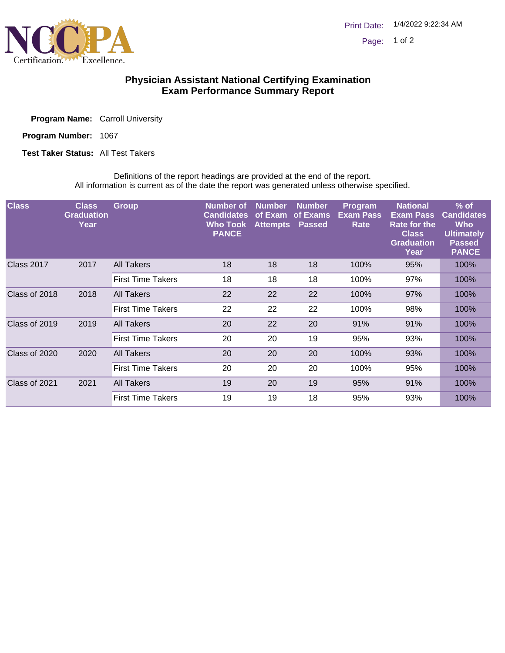

## **Physician Assistant National Certifying Examination Exam Performance Summary Report**

Program Name: Carroll University

Program Number: 1067

**Test Taker Status: All Test Takers** 

Definitions of the report headings are provided at the end of the report. All information is current as of the date the report was generated unless otherwise specified.

| <b>Class</b>      | <b>Class</b><br><b>Graduation</b><br>Year | <b>Group</b>             | Number of<br><b>Candidates</b><br><b>Who Took</b><br><b>PANCE</b> | <b>Number</b><br>of Exam<br><b>Attempts</b> | Number,<br>of Exams<br><b>Passed</b> | <b>Program</b><br><b>Exam Pass</b><br>Rate | <b>National</b><br><b>Exam Pass</b><br><b>Rate for the</b><br><b>Class</b><br><b>Graduation</b><br>Year | $%$ of<br><b>Candidates</b><br><b>Who</b><br><b>Ultimately</b><br><b>Passed</b><br><b>PANCE</b> |
|-------------------|-------------------------------------------|--------------------------|-------------------------------------------------------------------|---------------------------------------------|--------------------------------------|--------------------------------------------|---------------------------------------------------------------------------------------------------------|-------------------------------------------------------------------------------------------------|
| <b>Class 2017</b> | 2017                                      | All Takers               | 18                                                                | 18                                          | 18                                   | 100%                                       | 95%                                                                                                     | 100%                                                                                            |
|                   |                                           | <b>First Time Takers</b> | 18                                                                | 18                                          | 18                                   | 100%                                       | 97%                                                                                                     | 100%                                                                                            |
| Class of 2018     | 2018                                      | All Takers               | 22                                                                | 22                                          | 22                                   | 100%                                       | 97%                                                                                                     | 100%                                                                                            |
|                   |                                           | <b>First Time Takers</b> | 22                                                                | 22                                          | 22                                   | 100%                                       | 98%                                                                                                     | 100%                                                                                            |
| Class of 2019     | 2019                                      | All Takers               | 20                                                                | 22                                          | 20                                   | 91%                                        | 91%                                                                                                     | 100%                                                                                            |
|                   |                                           | <b>First Time Takers</b> | 20                                                                | 20                                          | 19                                   | 95%                                        | 93%                                                                                                     | 100%                                                                                            |
| Class of 2020     | 2020                                      | All Takers               | 20                                                                | 20                                          | 20                                   | 100%                                       | 93%                                                                                                     | 100%                                                                                            |
|                   |                                           | <b>First Time Takers</b> | 20                                                                | 20                                          | 20                                   | 100%                                       | 95%                                                                                                     | 100%                                                                                            |
| Class of 2021     | 2021                                      | All Takers               | 19                                                                | 20                                          | 19                                   | 95%                                        | 91%                                                                                                     | 100%                                                                                            |
|                   |                                           | <b>First Time Takers</b> | 19                                                                | 19                                          | 18                                   | 95%                                        | 93%                                                                                                     | 100%                                                                                            |